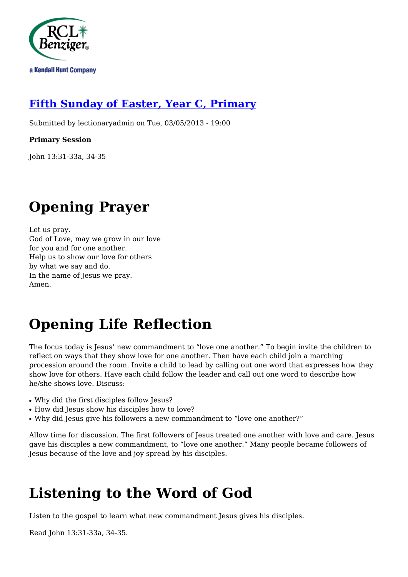

### **[Fifth Sunday of Easter, Year C, Primary](http://rclblectionary.com/fifth-sunday-easter-year-c-primary)**

Submitted by lectionaryadmin on Tue, 03/05/2013 - 19:00

#### **Primary Session**

John 13:31-33a, 34-35

# **Opening Prayer**

Let us pray. God of Love, may we grow in our love for you and for one another. Help us to show our love for others by what we say and do. In the name of Jesus we pray. Amen.

# **Opening Life Reflection**

The focus today is Jesus' new commandment to "love one another." To begin invite the children to reflect on ways that they show love for one another. Then have each child join a marching procession around the room. Invite a child to lead by calling out one word that expresses how they show love for others. Have each child follow the leader and call out one word to describe how he/she shows love. Discuss:

- Why did the first disciples follow Jesus?
- How did Jesus show his disciples how to love?
- Why did Jesus give his followers a new commandment to "love one another?"

Allow time for discussion. The first followers of Jesus treated one another with love and care. Jesus gave his disciples a new commandment, to "love one another." Many people became followers of Jesus because of the love and joy spread by his disciples.

# **Listening to the Word of God**

Listen to the gospel to learn what new commandment Jesus gives his disciples.

Read John 13:31-33a, 34-35.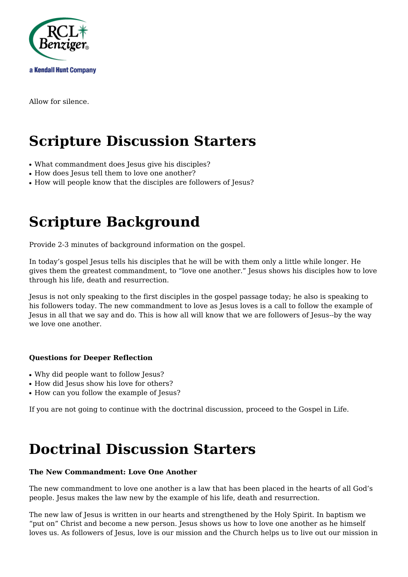

Allow for silence.

# **Scripture Discussion Starters**

- What commandment does Jesus give his disciples?
- How does Jesus tell them to love one another?
- How will people know that the disciples are followers of Jesus?

### **Scripture Background**

Provide 2-3 minutes of background information on the gospel.

In today's gospel Jesus tells his disciples that he will be with them only a little while longer. He gives them the greatest commandment, to "love one another." Jesus shows his disciples how to love through his life, death and resurrection.

Jesus is not only speaking to the first disciples in the gospel passage today; he also is speaking to his followers today. The new commandment to love as Jesus loves is a call to follow the example of Jesus in all that we say and do. This is how all will know that we are followers of Jesus--by the way we love one another.

#### **Questions for Deeper Reflection**

- Why did people want to follow Jesus?
- How did Jesus show his love for others?
- How can you follow the example of Jesus?

If you are not going to continue with the doctrinal discussion, proceed to the Gospel in Life.

### **Doctrinal Discussion Starters**

#### **The New Commandment: Love One Another**

The new commandment to love one another is a law that has been placed in the hearts of all God's people. Jesus makes the law new by the example of his life, death and resurrection.

The new law of Jesus is written in our hearts and strengthened by the Holy Spirit. In baptism we "put on" Christ and become a new person. Jesus shows us how to love one another as he himself loves us. As followers of Jesus, love is our mission and the Church helps us to live out our mission in